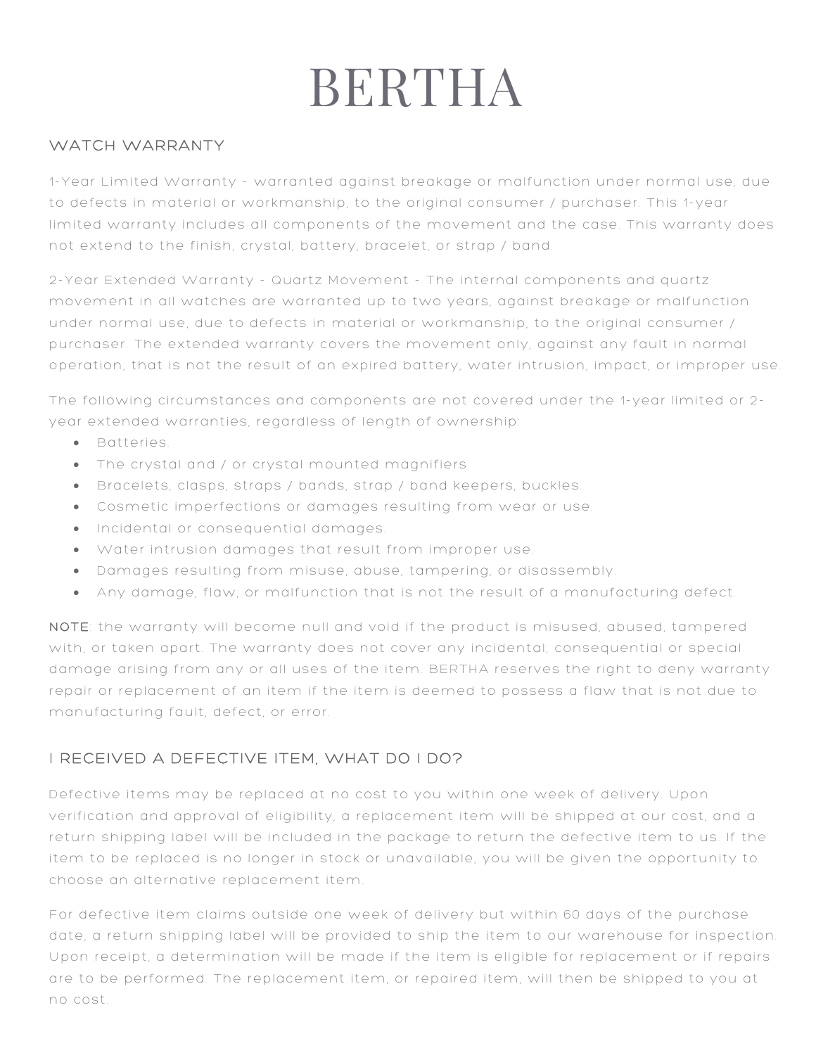# BERTHA

#### WATCH WARRANTY

1 -Year Limited Warranty - warranted against breakage or malfunction under normal use, due to defects in material or workmanship, to the original consumer / purchaser. This 1-year limited warranty includes all components of the movement and the case. This warranty does not extend to the finish, crystal, battery, bracelet, or strap / band.

2-Year Extended Warranty - Quartz Movement - The internal components and quartz movement in all watches are warranted up to two years, against breakage or malfunction under normal use, due to defects in material or workmanship, to the original consumer / purchaser. The extended warranty covers the movement only, against any fault in normal operation, that is not the result of an expired battery, water intrusion, impact, or improper use.

The following circumstances and components are not covered under the 1-year limited or 2 year extended warranties, regardless of length of ownership:

- Batteries.
- The crystal and / or crystal mounted magnifiers.
- Bracelets, clasps, straps / bands, strap / band keepers, buckles.
- Cosmetic imperfections or damages resulting from wear or use.
- Incidental or consequential damages.
- Water intrusion damages that result from improper use.
- Damages resulting from misuse, abuse, tampering, or disassembly.
- Any damage, flaw, or malfunction that is not the result of a manufacturing defect.

NOTE: the warranty will become null and void if the product is misused, abused, tampered with, or taken apart. The warranty does not cover any incidental; consequential or special damage arising from any or all uses of the item. BERTHA reserves the right to deny warranty repair or replacement of an item if the item is deemed to possess a flaw that is not due to manufacturing fault, defect, or error.

## I RECEIVED A DEFECTIVE ITEM, WHAT DO I DO?

Defective items may be replaced at no cost to you within one week of delivery. Upon verification and approval of eligibility, a replacement item will be shipped at our cost, and a return shipping label will be included in the package to return the defective item to us. If the item to be replaced is no longer in stock or unavailable, you will be given the opportunity to choose an alternative replacement item.

For defective item claims outside one week of delivery but within 60 days of the purchase date, a return shipping label will be provided to ship the item to our warehouse for inspection. Upon receipt, a determination will be made if the item is eligible for replacement or if repairs are to be performed. The replacement item, or repaired item, will then be shipped to you at no cost.